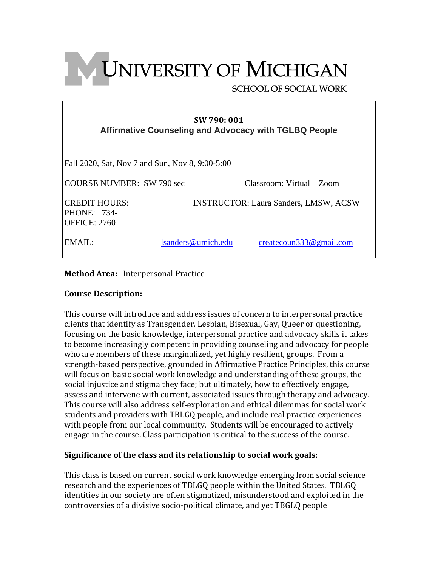**UNIVERSITY OF MICHIGAN** 

## **SCHOOL OF SOCIAL WORK**

| SW 790:001<br>Affirmative Counseling and Advocacy with TGLBQ People |  |
|---------------------------------------------------------------------|--|
| Fall 2020, Sat, Nov 7 and Sun, Nov 8, 9:00-5:00                     |  |

| COURSE NUMBER: SW 790 sec                    |                    | Classroom: Virtual – Zoom                    |
|----------------------------------------------|--------------------|----------------------------------------------|
| CREDIT HOURS:<br>PHONE: 734-<br>OFFICE: 2760 |                    | <b>INSTRUCTOR: Laura Sanders, LMSW, ACSW</b> |
| EMAIL:                                       | lsanders@umich.edu | createcoun333@gmail.com                      |

**Method Area:** Interpersonal Practice

## **Course Description:**

This course will introduce and address issues of concern to interpersonal practice clients that identify as Transgender, Lesbian, Bisexual, Gay, Queer or questioning, focusing on the basic knowledge, interpersonal practice and advocacy skills it takes to become increasingly competent in providing counseling and advocacy for people who are members of these marginalized, yet highly resilient, groups. From a strength-based perspective, grounded in Affirmative Practice Principles, this course will focus on basic social work knowledge and understanding of these groups, the social injustice and stigma they face; but ultimately, how to effectively engage, assess and intervene with current, associated issues through therapy and advocacy. This course will also address self-exploration and ethical dilemmas for social work students and providers with TBLGQ people, and include real practice experiences with people from our local community. Students will be encouraged to actively engage in the course. Class participation is critical to the success of the course.

## **Significance of the class and its relationship to social work goals:**

This class is based on current social work knowledge emerging from social science research and the experiences of TBLGQ people within the United States. TBLGQ identities in our society are often stigmatized, misunderstood and exploited in the controversies of a divisive socio-political climate, and yet TBGLQ people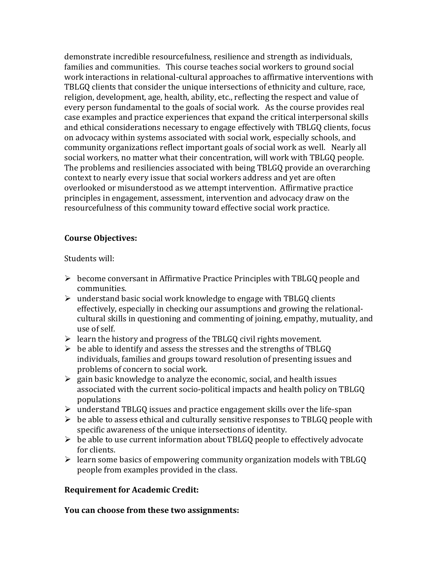demonstrate incredible resourcefulness, resilience and strength as individuals, families and communities. This course teaches social workers to ground social work interactions in relational-cultural approaches to affirmative interventions with TBLGQ clients that consider the unique intersections of ethnicity and culture, race, religion, development, age, health, ability, etc., reflecting the respect and value of every person fundamental to the goals of social work. As the course provides real case examples and practice experiences that expand the critical interpersonal skills and ethical considerations necessary to engage effectively with TBLGQ clients, focus on advocacy within systems associated with social work, especially schools, and community organizations reflect important goals of social work as well. Nearly all social workers, no matter what their concentration, will work with TBLGQ people. The problems and resiliencies associated with being TBLGQ provide an overarching context to nearly every issue that social workers address and yet are often overlooked or misunderstood as we attempt intervention. Affirmative practice principles in engagement, assessment, intervention and advocacy draw on the resourcefulness of this community toward effective social work practice.

## **Course Objectives:**

Students will:

- ➢ become conversant in Affirmative Practice Principles with TBLGQ people and communities.
- $\triangleright$  understand basic social work knowledge to engage with TBLGQ clients effectively, especially in checking our assumptions and growing the relationalcultural skills in questioning and commenting of joining, empathy, mutuality, and use of self.
- $\triangleright$  learn the history and progress of the TBLGQ civil rights movement.
- $\triangleright$  be able to identify and assess the stresses and the strengths of TBLGO individuals, families and groups toward resolution of presenting issues and problems of concern to social work.
- $\triangleright$  gain basic knowledge to analyze the economic, social, and health issues associated with the current socio-political impacts and health policy on TBLGQ populations
- ➢ understand TBLGQ issues and practice engagement skills over the life-span
- $\triangleright$  be able to assess ethical and culturally sensitive responses to TBLGQ people with specific awareness of the unique intersections of identity.
- $\triangleright$  be able to use current information about TBLGQ people to effectively advocate for clients.
- ➢ learn some basics of empowering community organization models with TBLGQ people from examples provided in the class.

## **Requirement for Academic Credit:**

**You can choose from these two assignments:**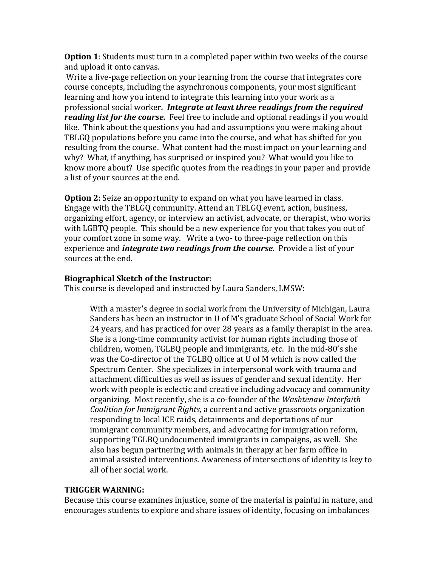**Option 1**: Students must turn in a completed paper within two weeks of the course and upload it onto canvas.

Write a five-page reflection on your learning from the course that integrates core course concepts, including the asynchronous components, your most significant learning and how you intend to integrate this learning into your work as a professional social worker*. Integrate at least three readings from the required reading list for the course.* Feel free to include and optional readings if you would like. Think about the questions you had and assumptions you were making about TBLGQ populations before you came into the course, and what has shifted for you resulting from the course. What content had the most impact on your learning and why? What, if anything, has surprised or inspired you? What would you like to know more about? Use specific quotes from the readings in your paper and provide a list of your sources at the end.

**Option 2:** Seize an opportunity to expand on what you have learned in class. Engage with the TBLGQ community. Attend an TBLGQ event, action, business, organizing effort, agency, or interview an activist, advocate, or therapist, who works with LGBTQ people. This should be a new experience for you that takes you out of your comfort zone in some way. Write a two- to three-page reflection on this experience and *integrate two readings from the course*. Provide a list of your sources at the end.

## **Biographical Sketch of the Instructor**:

This course is developed and instructed by Laura Sanders, LMSW:

With a master's degree in social work from the University of Michigan, Laura Sanders has been an instructor in U of M's graduate School of Social Work for 24 years, and has practiced for over 28 years as a family therapist in the area. She is a long-time community activist for human rights including those of children, women, TGLBQ people and immigrants, etc. In the mid-80's she was the Co-director of the TGLBQ office at U of M which is now called the Spectrum Center. She specializes in interpersonal work with trauma and attachment difficulties as well as issues of gender and sexual identity. Her work with people is eclectic and creative including advocacy and community organizing. Most recently, she is a co-founder of the *Washtenaw Interfaith Coalition for Immigrant Rights,* a current and active grassroots organization responding to local ICE raids, detainments and deportations of our immigrant community members, and advocating for immigration reform, supporting TGLBQ undocumented immigrants in campaigns, as well. She also has begun partnering with animals in therapy at her farm office in animal assisted interventions. Awareness of intersections of identity is key to all of her social work.

## **TRIGGER WARNING:**

Because this course examines injustice, some of the material is painful in nature, and encourages students to explore and share issues of identity, focusing on imbalances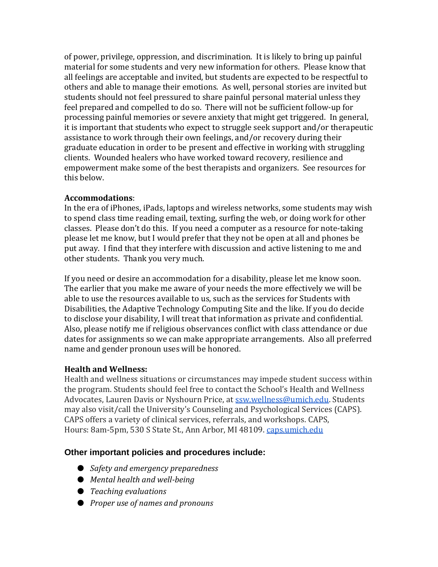of power, privilege, oppression, and discrimination. It is likely to bring up painful material for some students and very new information for others. Please know that all feelings are acceptable and invited, but students are expected to be respectful to others and able to manage their emotions. As well, personal stories are invited but students should not feel pressured to share painful personal material unless they feel prepared and compelled to do so. There will not be sufficient follow-up for processing painful memories or severe anxiety that might get triggered. In general, it is important that students who expect to struggle seek support and/or therapeutic assistance to work through their own feelings, and/or recovery during their graduate education in order to be present and effective in working with struggling clients. Wounded healers who have worked toward recovery, resilience and empowerment make some of the best therapists and organizers. See resources for this below.

## **Accommodations**:

In the era of iPhones, iPads, laptops and wireless networks, some students may wish to spend class time reading email, texting, surfing the web, or doing work for other classes. Please don't do this. If you need a computer as a resource for note-taking please let me know, but I would prefer that they not be open at all and phones be put away. I find that they interfere with discussion and active listening to me and other students. Thank you very much.

If you need or desire an accommodation for a disability, please let me know soon. The earlier that you make me aware of your needs the more effectively we will be able to use the resources available to us, such as the services for Students with Disabilities, the Adaptive Technology Computing Site and the like. If you do decide to disclose your disability, I will treat that information as private and confidential. Also, please notify me if religious observances conflict with class attendance or due dates for assignments so we can make appropriate arrangements. Also all preferred name and gender pronoun uses will be honored.

## **Health and Wellness:**

Health and wellness situations or circumstances may impede student success within the program. Students should feel free to contact the School's Health and Wellness Advocates, Lauren Davis or Nyshourn Price, at [ssw.wellness@umich.edu.](mailto:ssw.wellness@umich.edu) Students may also visit/call the University's Counseling and Psychological Services (CAPS). CAPS offers a variety of clinical services, referrals, and workshops. CAPS, Hours: 8am-5pm, 530 S State St., Ann Arbor, MI 48109. [caps.umich.edu](http://caps.umich.edu/)

## **Other important policies and procedures include:**

- *Safety and emergency preparedness*
- *Mental health and well-being*
- *Teaching evaluations*
- *Proper use of names and pronouns*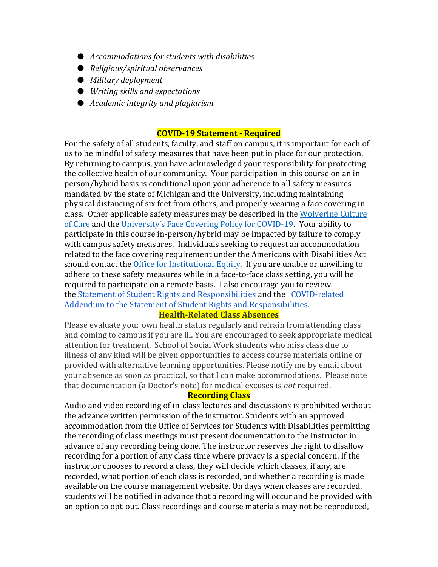- *Accommodations for students with disabilities*
- *Religious/spiritual observances*
- *Military deployment*
- *Writing skills and expectations*
- *Academic integrity and plagiarism*

#### **COVID-19 Statement - Required**

For the safety of all students, faculty, and staff on campus, it is important for each of us to be mindful of safety measures that have been put in place for our protection. By returning to campus, you have acknowledged your responsibility for protecting the collective health of our community. Your participation in this course on an inperson/hybrid basis is conditional upon your adherence to all safety measures mandated by the state of Michigan and the University, including maintaining physical distancing of six feet from others, and properly wearing a face covering in class. Other applicable safety measures may be described in the [Wolverine Culture](https://campusblueprint.umich.edu/uploads/Wolverine_Culture_of_Care%20sign_8.5x11_UPDATED_071520.pdf)  [of Care](https://campusblueprint.umich.edu/uploads/Wolverine_Culture_of_Care%20sign_8.5x11_UPDATED_071520.pdf) and the [University's Face Covering Policy for COVID](http://ehs.umich.edu/wp-content/uploads/2020/07/U-M-Face-Covering-Policy-for-COVID-19.pdf)-19. Your ability to participate in this course in-person/hybrid may be impacted by failure to comply with campus safety measures. Individuals seeking to request an accommodation related to the face covering requirement under the Americans with Disabilities Act should contact the [Office for Institutional Equity.](https://oie.umich.edu/american-with-disabilities-act-ada/) If you are unable or unwilling to adhere to these safety measures while in a face-to-face class setting, you will be required to participate on a remote basis. I also encourage you to review the [Statement of Student Rights and Responsibilities](https://oscr.umich.edu/statement#1) and the [COVID-related](https://oscr.umich.edu/sites/oscr.umich.edu/files/2020_statement_addendum_final_approved.pdf)  [Addendum to the Statement of Student Rights and Responsibilities.](https://oscr.umich.edu/sites/oscr.umich.edu/files/2020_statement_addendum_final_approved.pdf)

## **Health-Related Class Absences**

Please evaluate your own health status regularly and refrain from attending class and coming to campus if you are ill. You are encouraged to seek appropriate medical attention for treatment. School of Social Work students who miss class due to illness of any kind will be given opportunities to access course materials online or provided with alternative learning opportunities. Please notify me by email about your absence as soon as practical, so that I can make accommodations. Please note that documentation (a Doctor's note) for medical excuses is *not* required.

#### **Recording Class**

Audio and video recording of in-class lectures and discussions is prohibited without the advance written permission of the instructor. Students with an approved accommodation from the Office of Services for Students with Disabilities permitting the recording of class meetings must present documentation to the instructor in advance of any recording being done. The instructor reserves the right to disallow recording for a portion of any class time where privacy is a special concern. If the instructor chooses to record a class, they will decide which classes, if any, are recorded, what portion of each class is recorded, and whether a recording is made available on the course management website. On days when classes are recorded, students will be notified in advance that a recording will occur and be provided with an option to opt-out. Class recordings and course materials may not be reproduced,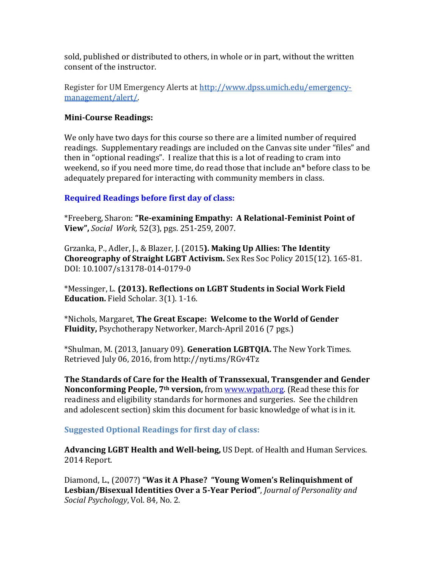sold, published or distributed to others, in whole or in part, without the written consent of the instructor.

Register for UM Emergency Alerts at [http://www.dpss.umich.edu/emergency](http://www.dpss.umich.edu/emergency-management/alert/)[management/alert/.](http://www.dpss.umich.edu/emergency-management/alert/)

### **Mini-Course Readings:**

We only have two days for this course so there are a limited number of required readings. Supplementary readings are included on the Canvas site under "files" and then in "optional readings". I realize that this is a lot of reading to cram into weekend, so if you need more time, do read those that include an\* before class to be adequately prepared for interacting with community members in class.

## **Required Readings before first day of class:**

\*Freeberg, Sharon: **"Re-examining Empathy: A Relational-Feminist Point of View",** *Social Work,* 52(3), pgs. 251-259, 2007.

Grzanka, P., Adler, J., & Blazer, J. (2015**). Making Up Allies: The Identity Choreography of Straight LGBT Activism.** Sex Res Soc Policy 2015(12). 165-81. DOI: 10.1007/s13178-014-0179-0

\*Messinger, L. **(2013). Reflections on LGBT Students in Social Work Field Education.** Field Scholar. 3(1). 1-16.

\*Nichols, Margaret, **The Great Escape: Welcome to the World of Gender Fluidity,** Psychotherapy Networker, March-April 2016 (7 pgs.)

\*Shulman, M. (2013, January 09). **Generation LGBTQIA.** The New York Times. Retrieved July 06, 2016, from http://nyti.ms/RGv4Tz

**The Standards of Care for the Health of Transsexual, Transgender and Gender Nonconforming People, 7th version,** from [www.wpath,org.](http://www.wpath,org/) (Read these this for readiness and eligibility standards for hormones and surgeries. See the children and adolescent section) skim this document for basic knowledge of what is in it.

#### **Suggested Optional Readings for first day of class:**

**Advancing LGBT Health and Well-being,** US Dept. of Health and Human Services. 2014 Report.

Diamond, L., (2007?) **"Was it A Phase? "Young Women's Relinquishment of Lesbian/Bisexual Identities Over a 5-Year Period"**, *Journal of Personality and Social Psychology*, Vol. 84, No. 2.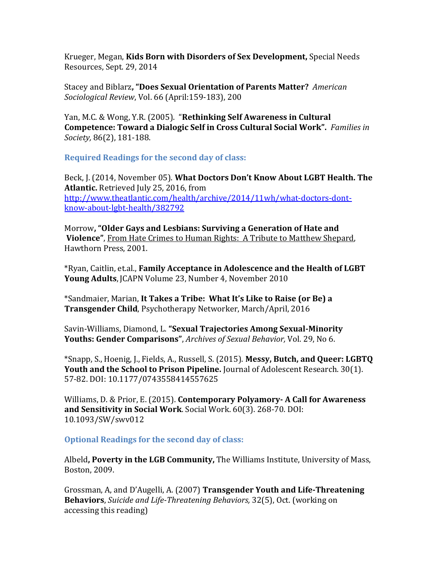Krueger, Megan, **Kids Born with Disorders of Sex Development,** Special Needs Resources, Sept. 29, 2014

Stacey and Biblarz**, "Does Sexual Orientation of Parents Matter?** *American Sociological Review*, Vol. 66 (April:159-183), 200

Yan, M.C. & Wong, Y.R. (2005). "**Rethinking Self Awareness in Cultural Competence: Toward a Dialogic Self in Cross Cultural Social Work".** *Families in Society,* 86(2), 181-188.

**Required Readings for the second day of class:**

Beck, J. (2014, November 05). **What Doctors Don't Know About LGBT Health. The Atlantic.** Retrieved July 25, 2016, from [http://www.theatlantic.com/health/archive/2014/11wh/what-doctors-dont](http://www.theatlantic.com/health/archive/2014/11wh/what-doctors-dont-know-about-lgbt-health/382792)[know-about-lgbt-health/382792](http://www.theatlantic.com/health/archive/2014/11wh/what-doctors-dont-know-about-lgbt-health/382792)

Morrow**, "Older Gays and Lesbians: Surviving a Generation of Hate and Violence"**, From Hate Crimes to Human Rights: A Tribute to Matthew Shepard, Hawthorn Press, 2001.

\*Ryan, Caitlin, et.al., **Family Acceptance in Adolescence and the Health of LGBT Young Adults**, JCAPN Volume 23, Number 4, November 2010

\*Sandmaier, Marian, **It Takes a Tribe: What It's Like to Raise (or Be) a Transgender Child**, Psychotherapy Networker, March/April, 2016

Savin-Williams, Diamond, L. **"Sexual Trajectories Among Sexual-Minority Youths: Gender Comparisons"**, *Archives of Sexual Behavior,* Vol. 29, No 6.

\*Snapp, S., Hoenig, J., Fields, A., Russell, S. (2015). **Messy, Butch, and Queer: LGBTQ Youth and the School to Prison Pipeline.** Journal of Adolescent Research. 30(1). 57-82. DOI: 10.1177/0743558414557625

Williams, D. & Prior, E. (2015). **Contemporary Polyamory- A Call for Awareness and Sensitivity in Social Work**. Social Work. 60(3). 268-70. DOI: 10.1093/SW/swv012

**Optional Readings for the second day of class:**

Albeld**, Poverty in the LGB Community,** The Williams Institute, University of Mass, Boston, 2009.

Grossman, A, and D'Augelli, A. (2007) **Transgender Youth and Life-Threatening Behaviors**, *Suicide and Life-Threatening Behaviors,* 32(5), Oct. (working on accessing this reading)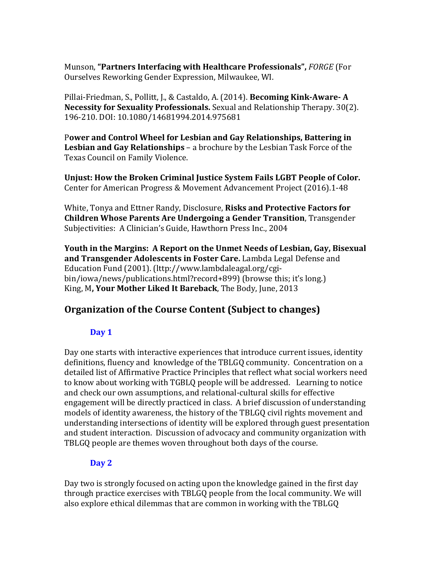Munson, **"Partners Interfacing with Healthcare Professionals",** *FORGE* (For Ourselves Reworking Gender Expression, Milwaukee, WI.

Pillai-Friedman, S., Pollitt, J., & Castaldo, A. (2014). **Becoming Kink-Aware- A Necessity for Sexuality Professionals.** Sexual and Relationship Therapy. 30(2). 196-210. DOI: 10.1080/14681994.2014.975681

P**ower and Control Wheel for Lesbian and Gay Relationships, Battering in Lesbian and Gay Relationships** – a brochure by the Lesbian Task Force of the Texas Council on Family Violence.

**Unjust: How the Broken Criminal Justice System Fails LGBT People of Color.**  Center for American Progress & Movement Advancement Project (2016).1-48

White, Tonya and Ettner Randy, Disclosure, **Risks and Protective Factors for Children Whose Parents Are Undergoing a Gender Transition**, Transgender Subjectivities: A Clinician's Guide, Hawthorn Press Inc., 2004

**Youth in the Margins: A Report on the Unmet Needs of Lesbian, Gay, Bisexual and Transgender Adolescents in Foster Care.** Lambda Legal Defense and Education Fund (2001). (lttp://www.lambdaleagal.org/cgibin/iowa/news/publications.html?record+899) (browse this; it's long.) King, M**, Your Mother Liked It Bareback**, The Body, June, 2013

# **Organization of the Course Content (Subject to changes)**

## **Day 1**

Day one starts with interactive experiences that introduce current issues, identity definitions, fluency and knowledge of the TBLGQ community. Concentration on a detailed list of Affirmative Practice Principles that reflect what social workers need to know about working with TGBLQ people will be addressed. Learning to notice and check our own assumptions, and relational-cultural skills for effective engagement will be directly practiced in class. A brief discussion of understanding models of identity awareness, the history of the TBLGQ civil rights movement and understanding intersections of identity will be explored through guest presentation and student interaction. Discussion of advocacy and community organization with TBLGQ people are themes woven throughout both days of the course.

## **Day 2**

Day two is strongly focused on acting upon the knowledge gained in the first day through practice exercises with TBLGQ people from the local community. We will also explore ethical dilemmas that are common in working with the TBLGQ